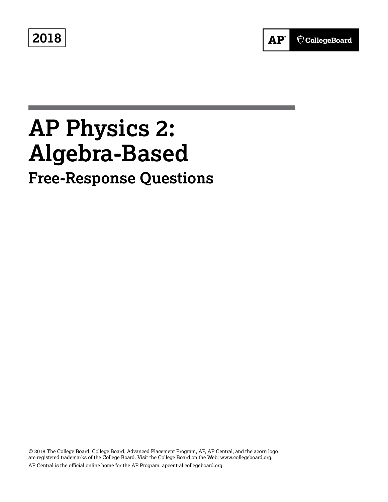**2018**



# **AP Physics 2: Algebra-Based Free-Response Questions**

© 2018 The College Board. College Board, Advanced Placement Program, AP, AP Central, and the acorn logo are registered trademarks of the College Board. Visit the College Board on the Web: [www.collegeboard.org.](www.collegeboard.org) AP Central is the official online home for the AP Program: [apcentral.collegeboard.org.](apcentral.collegeboard.org)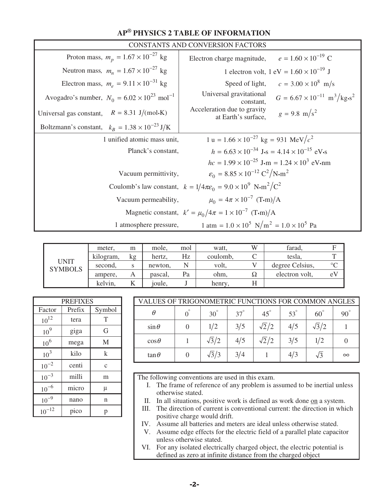|                                                                  | CONSTANTS AND CONVERSION FACTORS                                                                          |
|------------------------------------------------------------------|-----------------------------------------------------------------------------------------------------------|
| Proton mass, $m_p = 1.67 \times 10^{-27}$ kg                     | $e = 1.60 \times 10^{-19}$ C<br>Electron charge magnitude,                                                |
| Neutron mass, $m_n = 1.67 \times 10^{-27}$ kg                    | 1 electron volt, $1 \text{ eV} = 1.60 \times 10^{-19} \text{ J}$                                          |
| Electron mass, $m_e = 9.11 \times 10^{-31}$ kg                   | $c = 3.00 \times 10^8$ m/s<br>Speed of light,                                                             |
| Avogadro's number, $N_0 = 6.02 \times 10^{23}$ mol <sup>-1</sup> | Universal gravitational<br>$G = 6.67 \times 10^{-11} \text{ m}^3/\text{kg} \cdot \text{s}^2$<br>constant. |
| Universal gas constant, $R = 8.31 \text{ J/(mol·K)}$             | Acceleration due to gravity<br>$g = 9.8 \text{ m/s}^2$<br>at Earth's surface,                             |
| Boltzmann's constant, $k_B = 1.38 \times 10^{-23} \text{ J/K}$   |                                                                                                           |
| 1 unified atomic mass unit,                                      | $1 u = 1.66 \times 10^{-27}$ kg = 931 MeV/ $c^2$                                                          |
| Planck's constant,                                               | $h = 6.63 \times 10^{-34}$ J·s = 4.14 $\times 10^{-15}$ eV·s                                              |
|                                                                  | $hc = 1.99 \times 10^{-25}$ J·m = $1.24 \times 10^{3}$ eV·nm                                              |
| Vacuum permittivity,                                             | $\varepsilon_0 = 8.85 \times 10^{-12} \text{ C}^2/\text{N} \cdot \text{m}^2$                              |
|                                                                  | Coulomb's law constant, $k = 1/4\pi\varepsilon_0 = 9.0 \times 10^9 \text{ N} \cdot \text{m}^2/\text{C}^2$ |
| Vacuum permeability,                                             | $\mu_0 = 4\pi \times 10^{-7}$ (T.m)/A                                                                     |
|                                                                  | Magnetic constant, $k' = \mu_0/4\pi = 1 \times 10^{-7}$ (T-m)/A                                           |
| 1 atmosphere pressure,                                           | $1 \text{ atm} = 1.0 \times 10^5 \text{ N/m}^2 = 1.0 \times 10^5 \text{ Pa}$                              |

|                        | meter.    | m  | mole,   | mol | watt,    | W  | farad,          | F            |
|------------------------|-----------|----|---------|-----|----------|----|-----------------|--------------|
|                        | kilogram, | kg | hertz.  | Hz  | coulomb, |    | tesla,          | $\mathbf{r}$ |
| UNIT<br><b>SYMBOLS</b> | second.   |    | newton, |     | volt,    |    | degree Celsius, | $\circ$      |
|                        | ampere,   | А  | pascal. | Pa  | ohm,     | 75 | electron volt,  | eV           |
|                        | kelvin,   | v  | joule,  |     | henry.   |    |                 |              |

| <b>PREFIXES</b> |        |              |  |  |  |  |  |  |
|-----------------|--------|--------------|--|--|--|--|--|--|
| Factor          | Prefix | Symbol       |  |  |  |  |  |  |
| $10^{12}$       | tera   | T            |  |  |  |  |  |  |
| 10 <sup>9</sup> | giga   | G            |  |  |  |  |  |  |
| 10 <sup>6</sup> | mega   | M            |  |  |  |  |  |  |
| $10^{3}$        | kilo   | k            |  |  |  |  |  |  |
| $10^{-2}$       | centi  | $\mathbf{C}$ |  |  |  |  |  |  |
| $10^{-3}$       | milli  | m            |  |  |  |  |  |  |
| $10^{-6}$       | micro  | μ            |  |  |  |  |  |  |
| $10^{-9}$       | nano   | n            |  |  |  |  |  |  |
| $10^{-12}$      | pico   | р            |  |  |  |  |  |  |

| VALUES OF TRIGONOMETRIC FUNCTIONS FOR COMMON ANGLES |  |              |            |              |            |              |            |  |  |
|-----------------------------------------------------|--|--------------|------------|--------------|------------|--------------|------------|--|--|
| θ                                                   |  | $30^\circ$   | $37^\circ$ | $45^\circ$   | $53^\circ$ | $60^{\circ}$ | $90^\circ$ |  |  |
| $\sin\theta$                                        |  | 1/2          | 3/5        | $\sqrt{2}/2$ | 4/5        | $\sqrt{3}/2$ |            |  |  |
| $\cos\theta$                                        |  | $\sqrt{3}/2$ | 4/5        | $\sqrt{2}/2$ | 3/5        | 1/2          |            |  |  |
| $\tan \theta$                                       |  | $\sqrt{3}/3$ | 3/4        |              | 4/3        | $\sqrt{3}$   | $\infty$   |  |  |

The following conventions are used in this exam.

- I. The frame of reference of any problem is assumed to be inertial unless otherwise stated.
- II. In all situations, positive work is defined as work done on a system.
- III. The direction of current is conventional current: the direction in which positive charge would drift.
- IV. Assume all batteries and meters are ideal unless otherwise stated.
	- V. Assume edge effects for the electric field of a parallel plate capacitor unless otherwise stated.
- VI. For any isolated electrically charged object, the electric potential is defined as zero at infinite distance from the charged object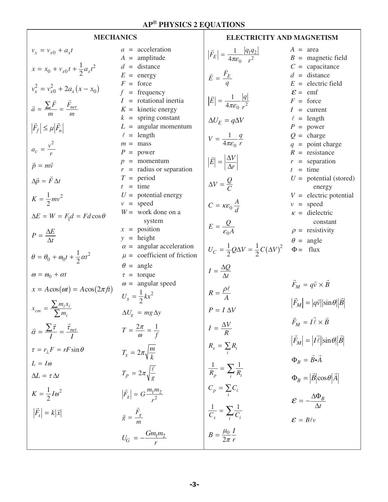$\Gamma$ 

| <b>MECHANICS</b>                                                                                                                                                                                                                                                                                                                                                                                                                                                             |                                                                                                                                                                                                                                                                                                                                                                                                                                                                                                                                                                 | <b>ELECTRICITY AND MAGNETISM</b>                                                                                                                                                                                                                                                                                                                                                                                                                                                         |                                                                                                                                                                                                                                                                                                                                                                                                                                                                                                       |  |  |  |  |
|------------------------------------------------------------------------------------------------------------------------------------------------------------------------------------------------------------------------------------------------------------------------------------------------------------------------------------------------------------------------------------------------------------------------------------------------------------------------------|-----------------------------------------------------------------------------------------------------------------------------------------------------------------------------------------------------------------------------------------------------------------------------------------------------------------------------------------------------------------------------------------------------------------------------------------------------------------------------------------------------------------------------------------------------------------|------------------------------------------------------------------------------------------------------------------------------------------------------------------------------------------------------------------------------------------------------------------------------------------------------------------------------------------------------------------------------------------------------------------------------------------------------------------------------------------|-------------------------------------------------------------------------------------------------------------------------------------------------------------------------------------------------------------------------------------------------------------------------------------------------------------------------------------------------------------------------------------------------------------------------------------------------------------------------------------------------------|--|--|--|--|
| $v_x = v_{x0} + a_x t$<br>$x = x_0 + v_{x0}t + \frac{1}{2}a_xt^2$<br>$v_r^2 = v_{r0}^2 + 2a_r(x - x_0)$<br>$\vec{a} = \frac{\sum \vec{F}}{m} = \frac{F_{net}}{m}$<br>$ \vec{F}_f  \leq \mu  \vec{F}_n $<br>$a_c = \frac{v^2}{r}$<br>$\vec{p} = m\vec{v}$<br>$\Delta \vec{p} = \vec{F} \Delta t$<br>$K=\frac{1}{2}mv^2$<br>$\Delta E = W = F_{\parallel} d = F d \cos \theta$<br>$P = \frac{\Delta E}{\Delta t}$<br>$\theta = \theta_0 + \omega_0 t + \frac{1}{2} \alpha t^2$ | $a = acceleration$<br>$A =$ amplitude<br>$d =$ distance<br>$E =$ energy<br>$F =$ force<br>$=$ frequency<br>f<br>$I =$ rotational inertia<br>$K =$ kinetic energy<br>$k =$ spring constant<br>$L =$ angular momentum<br>$\ell$ = length<br>$m =$ mass<br>$P = power$<br>$p =$ momentum<br>$r =$ radius or separation<br>$T = period$<br>$t = \text{time}$<br>$U =$ potential energy<br>$v = speed$<br>$W =$ work done on a<br>system<br>$x = position$<br>$y = height$<br>$\alpha$ = angular acceleration<br>$\mu$ = coefficient of friction<br>$\theta$ = angle | $\left \vec{F}_E\right  = \frac{1}{4\pi\epsilon_0} \frac{ q_1 q_2 }{r^2}$<br>$\vec{E} = \frac{\vec{F}_E}{a}$<br>$\left \vec{E}\right  = \frac{1}{4\pi\epsilon_0} \frac{ q }{r^2}$<br>$\Delta U_E = q \Delta V$<br>$V = \frac{1}{4\pi\epsilon_0} \frac{q}{r}$<br>$ \vec{E}  = \left \frac{\Delta V}{\Delta r}\right $<br>$\Delta V = \frac{Q}{C}$<br>$C = \kappa \varepsilon_0 \frac{A}{d}$<br>$E = \frac{Q}{\varepsilon_0 A}$<br>$U_C = \frac{1}{2}Q\Delta V = \frac{1}{2}C(\Delta V)^2$ | $A = \text{area}$<br>$B =$ magnetic field<br>$C =$ capacitance<br>$d =$ distance<br>$E =$ electric field<br>$\mathcal{E} = \text{emf}$<br>$F =$ force<br>$I = current$<br>$\ell$ = length<br>$P = power$<br>$Q = \text{charge}$<br>$q =$ point charge<br>$R =$ resistance<br>$r =$ separation<br>$t = \text{time}$<br>$U =$ potential (stored)<br>energy<br>$V =$ electric potential<br>$v = speed$<br>$\kappa$ = dielectric<br>constant<br>$\rho$ = resistivity<br>$\theta$ = angle<br>$\Phi =$ flux |  |  |  |  |
| $\omega = \omega_0 + \alpha t$<br>$x = A\cos(\omega t) = A\cos(2\pi ft)$<br>$x_{cm} = \frac{\sum m_i x_i}{\sum m_i}$<br>$\vec{\alpha} = \frac{\sum \vec{\tau}}{I} = \frac{\vec{\tau}_{net}}{I}$<br>$\tau = r_{\perp} F = rF \sin \theta$<br>$L = I\omega$<br>$\Delta L = \tau \Delta t$<br>$K = \frac{1}{2}I\omega^2$<br>$\left \vec{F}_s\right  = k \vec{x} $                                                                                                               | $\tau$ = torque<br>$\omega$ = angular speed<br>$U_s = \frac{1}{2}kx^2$<br>$\Delta U_g$ = mg $\Delta y$<br>$T=\frac{2\pi}{\omega}=\frac{1}{f}$<br>$T_s = 2\pi \sqrt{\frac{m}{L}}$<br>$T_p = 2\pi \sqrt{\frac{\ell}{g}}$<br>$ \vec{F}_g  = G \frac{m_1 m_2}{r^2}$<br>$\vec{g} = \frac{\vec{F}_g}{\sigma}$<br>$U_G = -\frac{G m_1 m_2}{r}$                                                                                                                                                                                                                         | $I = \frac{\Delta Q}{\Delta t}$<br>$R = \frac{\rho \ell}{A}$<br>$P = I \Delta V$<br>$I = \frac{\Delta V}{R}$<br>$R_s = \sum_i R_i$<br>$\frac{1}{R_p} = \sum_i \frac{1}{R_i}$<br>$C_p = \sum_i C_i$<br>$\frac{1}{C_s} = \sum_i \frac{1}{C_i}$<br>$B=\frac{\mu_0}{2\pi}\frac{I}{r}$                                                                                                                                                                                                        | $\vec{F}_M = q\vec{v} \times \vec{B}$<br>$ \vec{F}_M  =  q\vec{v}   \sin \theta   \vec{B} $<br>$\vec{F}_M = I \vec{\ell} \times \vec{B}$<br>$ \vec{F}_M  =  \vec{I} \vec{\ell}  \sin \theta    \vec{B} $<br>$\Phi_B = \vec{B}\!\!\cdot\!\vec{A}$<br>$\Phi_B =  \vec{B}  \cos \theta  \vec{A} $<br>$\mathcal{E}=-\frac{\Delta \Phi_B}{\Delta t}$<br>$\mathcal{E} = B \ell v$                                                                                                                           |  |  |  |  |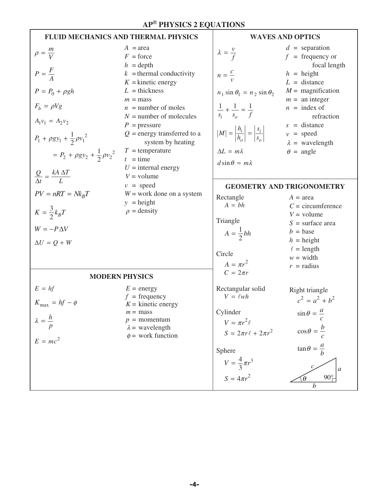|                                                                                                                                                                                                                                                                    | FLUID MECHANICS AND THERMAL PHYSICS                                                                                                                                                                                                                                                                                                              | <b>WAVES AND OPTICS</b>                                                                                                                                                                                                                                             |                                                                                                                                                                                                                                                           |  |  |  |
|--------------------------------------------------------------------------------------------------------------------------------------------------------------------------------------------------------------------------------------------------------------------|--------------------------------------------------------------------------------------------------------------------------------------------------------------------------------------------------------------------------------------------------------------------------------------------------------------------------------------------------|---------------------------------------------------------------------------------------------------------------------------------------------------------------------------------------------------------------------------------------------------------------------|-----------------------------------------------------------------------------------------------------------------------------------------------------------------------------------------------------------------------------------------------------------|--|--|--|
| $\rho = \frac{m}{V}$<br>$P = \frac{F}{\lambda}$<br>$P = P_0 + \rho gh$<br>$F_b = \rho Vg$<br>$A_1v_1 = A_2v_2$<br>$P_1 + \rho g y_1 + \frac{1}{2} \rho {v_1}^2$<br>$= P_2 + \rho g y_2 + \frac{1}{2} \rho {v_2}^2$<br>$\frac{Q}{\Delta t} = \frac{kA \Delta T}{I}$ | $A = \text{area}$<br>$F =$ force<br>$h =$ depth<br>$k =$ thermal conductivity<br>$K =$ kinetic energy<br>$L =$ thickness<br>$m =$ mass<br>$n =$ number of moles<br>$N =$ number of molecules<br>$P =$ pressure<br>$Q$ = energy transferred to a<br>system by heating<br>$T =$ temperature<br>$t =$ time<br>$U =$ internal energy<br>$V =$ volume | $\lambda = \frac{v}{f}$<br>$n=\frac{c}{v}$<br>$n_1 \sin \theta_1 = n_2 \sin \theta_2$<br>$\frac{1}{s_i} + \frac{1}{s_o} = \frac{1}{f}$<br>$ M  = \left \frac{h_i}{h_o}\right  = \left \frac{s_i}{s_o}\right $<br>$\Delta L = m \lambda$<br>$d\sin\theta = m\lambda$ | $d =$ separation<br>$f = \text{frequency}$ or<br>focal length<br>$h =$ height<br>$L =$ distance<br>$M =$ magnification<br>$m =$ an integer<br>$n =$ index of<br>refraction<br>$s = distance$<br>$v = speed$<br>$\lambda$ = wavelength<br>$\theta$ = angle |  |  |  |
| $PV = nRT = Nk_B T$                                                                                                                                                                                                                                                | $v = speed$                                                                                                                                                                                                                                                                                                                                      |                                                                                                                                                                                                                                                                     | <b>GEOMETRY AND TRIGONOMETRY</b>                                                                                                                                                                                                                          |  |  |  |
| $K=\frac{3}{2}k_BT$<br>$W = -P\Delta V$<br>$\Delta U = Q + W$                                                                                                                                                                                                      | $W =$ work done on a system<br>$y = height$<br>$\rho$ = density                                                                                                                                                                                                                                                                                  | Rectangle<br>$A = bh$<br>Triangle<br>$A=\frac{1}{2}bh$<br>Circle<br>$A = \pi r^2$                                                                                                                                                                                   | $A = \text{area}$<br>$C =$ circumference<br>$V =$ volume<br>$S =$ surface area<br>$b = \text{base}$<br>$h =$ height<br>$\ell =$ length<br>$w = \text{width}$<br>$r =$ radius                                                                              |  |  |  |
|                                                                                                                                                                                                                                                                    | <b>MODERN PHYSICS</b>                                                                                                                                                                                                                                                                                                                            | $C=2\pi r$                                                                                                                                                                                                                                                          |                                                                                                                                                                                                                                                           |  |  |  |
| $E = hf$<br>$K_{\text{max}} = hf - \phi$<br>$\lambda = \frac{h}{\sqrt{2}}$<br>$E = mc^2$                                                                                                                                                                           | $E = energy$<br>$f = \text{frequency}$<br>$K =$ kinetic energy<br>$m =$ mass<br>$p =$ momentum<br>$\lambda$ = wavelength<br>$\phi$ = work function                                                                                                                                                                                               | Rectangular solid<br>$V = \ell wh$<br>Cylinder<br>$V = \pi r^2 \ell$<br>$S = 2\pi r \ell + 2\pi r^2$<br>Sphere<br>$V = \frac{4}{3}\pi r^3$<br>$S = 4\pi r^2$                                                                                                        | Right triangle<br>$c^2 = a^2 + b^2$<br>$\sin\theta = \frac{a}{b}$<br>$\cos\theta = \frac{b}{\sqrt{2}}$<br>$\tan \theta = \frac{a}{b}$<br>$\mathfrak a$<br>$90^\circ$<br>$\theta$<br>$\boldsymbol{b}$                                                      |  |  |  |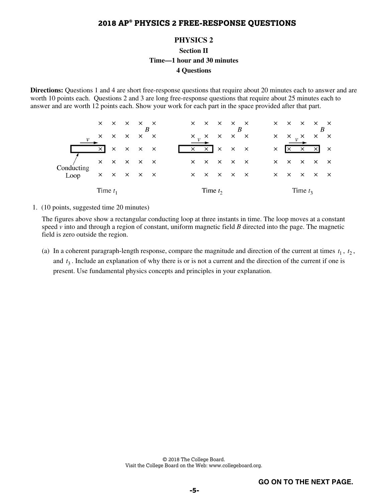#### **PHYSICS 2**

**Section II** 

**Time—1 hour and 30 minutes** 

#### **4 Questions**

**Directions:** Questions 1 and 4 are short free-response questions that require about 20 minutes each to answer and are worth 10 points each. Questions 2 and 3 are long free-response questions that require about 25 minutes each to answer and are worth 12 points each. Show your work for each part in the space provided after that part.

|               |       | $\times$ $\times$ $\times$ $\times$ $\times$ |                                     |  | $\times$ $\times$                   |              | $\times$ $\times$ $\times$ |              | ×        | $\mathsf{X}$               | $\times$ $\times$ |          | $\mathsf{X}$ |
|---------------|-------|----------------------------------------------|-------------------------------------|--|-------------------------------------|--------------|----------------------------|--------------|----------|----------------------------|-------------------|----------|--------------|
| $\mathcal{V}$ |       | $\times$ $\times$ $\times$ $\times$ $\times$ |                                     |  | $x_{v}$ x                           | $\mathsf{X}$ | $\mathsf{X}$               | $\mathsf{X}$ | $\times$ | $\mathsf{X}$               | $v^{\times}$      | $\times$ | $\mathsf{X}$ |
|               | – × I |                                              | $\times$ $\times$ $\times$ $\times$ |  | $\times$ $\times$ $\times$ $\times$ |              |                            |              | $\times$ | l×.                        | $\times$          | – × I    | $\mathsf{X}$ |
| Conducting    |       | $\times$ $\times$ $\times$ $\times$ $\times$ |                                     |  | $\times$ $\times$                   | $\mathsf{X}$ | $\times$ $\times$          |              | $\times$ | $\times$ $\times$ $\times$ |                   |          | $\mathsf{X}$ |
| Loop          |       | $\times$ $\times$ $\times$ $\times$ $\times$ |                                     |  | $\times$ $\times$ $\times$ $\times$ |              |                            |              | $\times$ | $\times$ $\times$ $\times$ |                   |          | $\mathsf{X}$ |
|               |       | Time $t_1$                                   |                                     |  | Time $t_2$                          |              |                            |              |          |                            | Time $t_3$        |          |              |

1. (10 points, suggested time 20 minutes)

The figures above show a rectangular conducting loop at three instants in time. The loop moves at a constant speed *v* into and through a region of constant, uniform magnetic field *B* directed into the page. The magnetic field is zero outside the region.

(a) In a coherent paragraph-length response, compare the magnitude and direction of the current at times  $t_1$ ,  $t_2$ , and  $t_3$ . Include an explanation of why there is or is not a current and the direction of the current if one is present. Use fundamental physics concepts and principles in your explanation.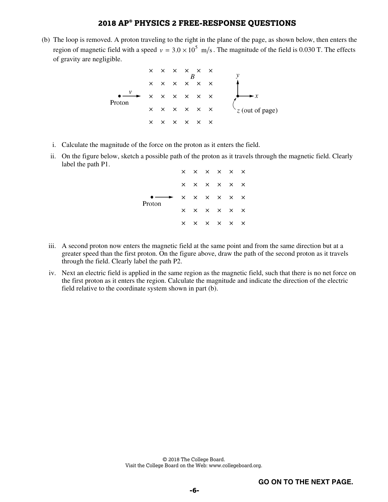(b) The loop is removed. A proton traveling to the right in the plane of the page, as shown below, then enters the region of magnetic field with a speed  $v = 3.0 \times 10^5$  m/s. The magnitude of the field is 0.030 T. The effects of gravity are negligible.

- i. Calculate the magnitude of the force on the proton as it enters the field.
- ii. On the figure below, sketch a possible path of the proton as it travels through the magnetic field. Clearly label the path P1.

|        |          | $\times$ $\times$ $\times$ $\times$ $\times$ |  |  |
|--------|----------|----------------------------------------------|--|--|
|        |          | $\times$ $\times$ $\times$ $\times$ $\times$ |  |  |
| Proton |          | $\times$ $\times$ $\times$ $\times$ $\times$ |  |  |
|        | $\times$ | $\times$ $\times$ $\times$ $\times$          |  |  |
|        | $\times$ | $\times$ $\times$ $\times$ $\times$          |  |  |

- iii. A second proton now enters the magnetic field at the same point and from the same direction but at a greater speed than the first proton. On the figure above, draw the path of the second proton as it travels through the field. Clearly label the path P2.
- iv. Next an electric field is applied in the same region as the magnetic field, such that there is no net force on the first proton as it enters the region. Calculate the magnitude and indicate the direction of the electric field relative to the coordinate system shown in part (b).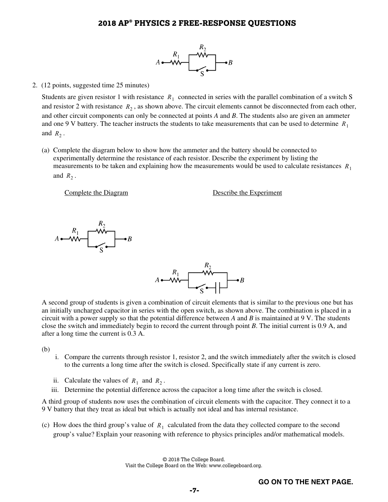

#### 2. (12 points, suggested time 25 minutes)

Students are given resistor 1 with resistance  $R_1$  connected in series with the parallel combination of a switch S and resistor 2 with resistance  $R_2$ , as shown above. The circuit elements cannot be disconnected from each other, and other circuit components can only be connected at points *A* and *B*. The students also are given an ammeter and one 9 V battery. The teacher instructs the students to take measurements that can be used to determine *R*<sup>1</sup> and  $R_2$ .

(a) Complete the diagram below to show how the ammeter and the battery should be connected to experimentally determine the resistance of each resistor. Describe the experiment by listing the measurements to be taken and explaining how the measurements would be used to calculate resistances  $R_1$ and  $R_2$ .

Complete the Diagram Describe the Experiment



A second group of students is given a combination of circuit elements that is similar to the previous one but has an initially uncharged capacitor in series with the open switch, as shown above. The combination is placed in a circuit with a power supply so that the potential difference between *A* and *B* is maintained at 9 V. The students close the switch and immediately begin to record the current through point *B*. The initial current is 0.9 A, and after a long time the current is 0.3 A.

(b)

- i. Compare the currents through resistor 1, resistor 2, and the switch immediately after the switch is closed to the currents a long time after the switch is closed. Specifically state if any current is zero.
- ii. Calculate the values of  $R_1$  and  $R_2$ .
- iii. Determine the potential difference across the capacitor a long time after the switch is closed.

A third group of students now uses the combination of circuit elements with the capacitor. They connect it to a 9 V battery that they treat as ideal but which is actually not ideal and has internal resistance.

(c) How does the third group's value of  $R_1$  calculated from the data they collected compare to the second group's value? Explain your reasoning with reference to physics principles and/or mathematical models.

> © 2018 The College Board. Visit the College Board on the Web: www.collegeboard.org.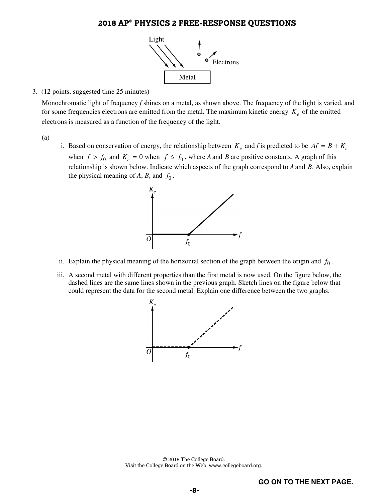

#### 3. (12 points, suggested time 25 minutes)

Monochromatic light of frequency *f* shines on a metal, as shown above. The frequency of the light is varied, and for some frequencies electrons are emitted from the metal. The maximum kinetic energy  $K_e$  of the emitted electrons is measured as a function of the frequency of the light.

- (a)
- i. Based on conservation of energy, the relationship between  $K_e$  and f is predicted to be  $Af = B + K_e$ when  $f > f_0$  and  $K_e = 0$  when  $f \le f_0$ , where *A* and *B* are positive constants. A graph of this relationship is shown below. Indicate which aspects of the graph correspond to *A*and *B*. Also, explain the physical meaning of  $A$ ,  $B$ , and  $f_0$ .



- ii. Explain the physical meaning of the horizontal section of the graph between the origin and  $f_0$ .
- iii. A second metal with different properties than the first metal is now used. On the figure below, the dashed lines are the same lines shown in the previous graph. Sketch lines on the figure below that could represent the data for the second metal. Explain one difference between the two graphs.



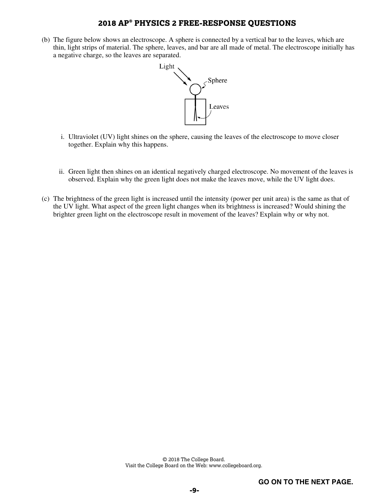(b) The figure below shows an electroscope. A sphere is connected by a vertical bar to the leaves, which are thin, light strips of material. The sphere, leaves, and bar are all made of metal. The electroscope initially has a negative charge, so the leaves are separated.



- i. Ultraviolet (UV) light shines on the sphere, causing the leaves of the electroscope to move closer together. Explain why this happens.
- ii. Green light then shines on an identical negatively charged electroscope. No movement of the leaves is observed. Explain why the green light does not make the leaves move, while the UV light does.
- (c) The brightness of the green light is increased until the intensity (power per unit area) is the same as that of the UV light. What aspect of the green light changes when its brightness is increased? Would shining the brighter green light on the electroscope result in movement of the leaves? Explain why or why not.